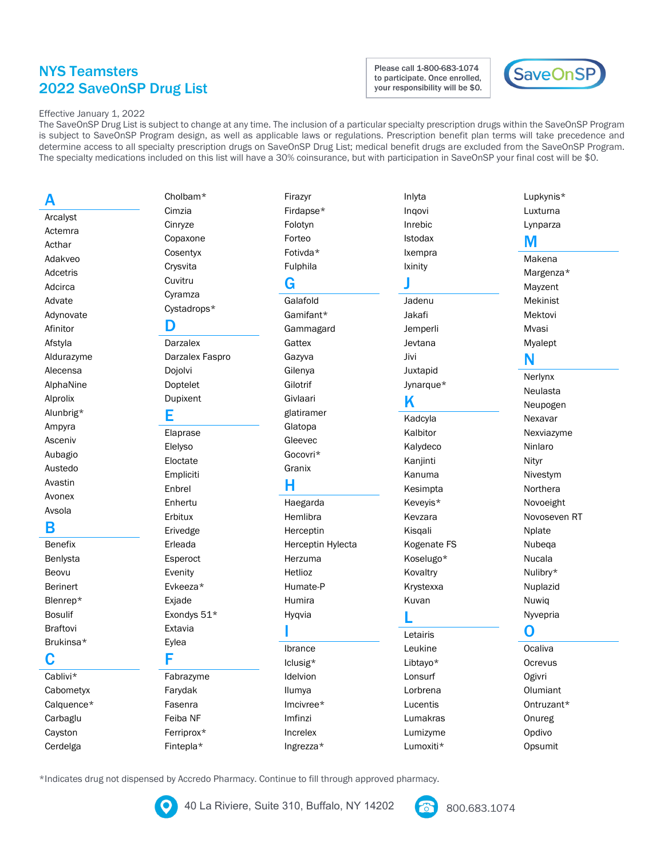## **NYS Teamsters 2022 SaveOnSP Drug List**

Please call 1-800-683-1074 to participate. Once enrolled, your responsibility will be \$0.



#### Effective January 1, 2022

The SaveOnSP Drug List is subject to change at any time. The inclusion of a particular specialty prescription drugs within the SaveOnSP Program is subject to SaveOnSP Program design, as well as applicable laws or regulations. Prescription benefit plan terms will take precedence and determine access to all specialty prescription drugs on SaveOnSP Drug List; medical benefit drugs are excluded from the SaveOnSP Program. The specialty medications included on this list will have a 30% coinsurance, but with participation in SaveOnSP your final cost will be \$0.

#### А

Arcalyst Actemra Acthar Adakveo Adcetris Adcirca Advate Adynovate Afinitor Afstyla Aldurazyme Alecensa AlphaNine Alprolix Alunbrig\* Ampyra Asceniv Aubagio Austedo Avastin Avonex Avsola В

**Benefix** Benlysta Beovu Berinert Blenrep\* **Bosulif Braftovi** Brukinsa\* C

Cablivi\* Cabometyx Calquence\* Carbaglu Cayston Cerdelga

Cimzia Cinryze Copaxone Cosentyx Crysvita Cuvitru Cyramza Cystadrops\*

Cholbam\*

#### D

**Darzalex** Darzalex Faspro Dojolvi Doptelet Dupixent

#### Е

Elaprase Elelyso Eloctate Empliciti Enbrel Enhertu Erbitux Erivedge Erleada Esperoct Evenity Evkeeza\* Exjade Exondys 51\* Extavia Eylea F

Fabrazyme Farydak Fasenra Feiba NF Ferriprox\* Fintepla\*

Firazyr Firdapse\* Folotyn Forteo Fotivda\* Fulphila G

Galafold Gamifant\* Gammagard Gattex Gazyva Gilenya Gilotrif Givlaari glatiramer Glatopa Gleevec Gocovri\* Granix

### н

Haegarda Hemlibra Herceptin Herceptin Hylecta Herzuma Hetlioz Humate-P Humira Hyqvia

### Ibrance lclusig\* Idelvion Ilumya Imcivree\* Imfinzi Increlex

Inrebic Istodax Ixempra Ixinity Jadenu Jakafi Jemperli

Inlyta

Ingovi

Jevtana Jivi Juxtapid Jynarque\*

## K

Kadcyla Kalbitor Kalydeco Kanjinti Kanuma Kesimpta Keveyis\* Kevzara Kisqali Kogenate FS Koselugo\* Kovaltry Krystexxa

Kuvan

Letairis Leukine Libtayo\* Lonsurf Lorbrena Lucentis Lumakras Lumizyme Lumoxiti\*

### Luxturna Lynparza M Makena Margenza\* Mayzent

Lupkynis\*

Mekinist Mektovi Mvasi Myalept

## N

Nerlynx Neulasta Neupogen Nexavar Nexviazyme Ninlaro Nityr Nivestym Northera Novoeight Novoseven RT Nplate Nubega Nucala Nulibry\* Nuplazid Nuwig Nyvepria

### O

Ocaliva Ocrevus Ogivri Olumiant Ontruzant\* Onureg Opdivo Opsumit

\*Indicates drug not dispensed by Accredo Pharmacy. Continue to fill through approved pharmacy.



40 La Riviere, Suite 310, Buffalo, NY 14202

Ingrezza\*